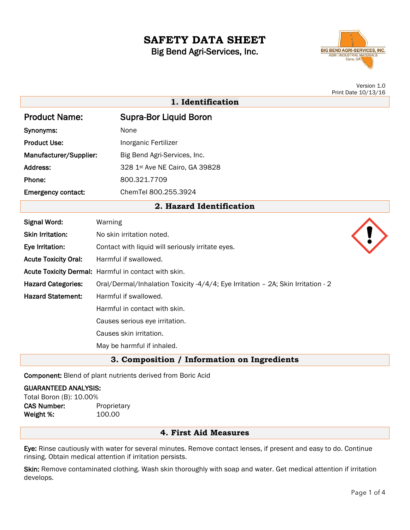# **SAFETY DATA SHEET**

Big Bend Agri-Services, Inc.

**1. Identification**



Version 1.0 Print Date 10/13/16

| <b>Product Name:</b>      | <b>Supra-Bor Liquid Boron</b>  |
|---------------------------|--------------------------------|
| Synonyms:                 | None                           |
| <b>Product Use:</b>       | Inorganic Fertilizer           |
| Manufacturer/Supplier:    | Big Bend Agri-Services, Inc.   |
| Address:                  | 328 1st Ave NE Cairo, GA 39828 |
| Phone:                    | 800.321.7709                   |
| <b>Emergency contact:</b> | ChemTel 800.255.3924           |

**2. Hazard Identification**

| <b>Signal Word:</b>                         | Warning                                                                          |  |
|---------------------------------------------|----------------------------------------------------------------------------------|--|
| <b>Skin Irritation:</b>                     | No skin irritation noted.                                                        |  |
| Eye Irritation:                             | Contact with liquid will seriously irritate eyes.                                |  |
| <b>Acute Toxicity Oral:</b>                 | Harmful if swallowed.                                                            |  |
|                                             | Acute Toxicity Dermal: Harmful in contact with skin.                             |  |
| <b>Hazard Categories:</b>                   | Oral/Dermal/Inhalation Toxicity -4/4/4; Eye Irritation - 2A; Skin Irritation - 2 |  |
| <b>Hazard Statement:</b>                    | Harmful if swallowed.                                                            |  |
|                                             | Harmful in contact with skin.                                                    |  |
|                                             | Causes serious eye irritation.                                                   |  |
|                                             | Causes skin irritation.                                                          |  |
|                                             | May be harmful if inhaled.                                                       |  |
| 3. Composition / Information on Ingredients |                                                                                  |  |

Component: Blend of plant nutrients derived from Boric Acid

# GUARANTEED ANALYSIS:

Total Boron (B): 10.00% CAS Number: Proprietary Weight %: 100.00

## **4. First Aid Measures**

Eye: Rinse cautiously with water for several minutes. Remove contact lenses, if present and easy to do. Continue rinsing. Obtain medical attention if irritation persists.

Skin: Remove contaminated clothing. Wash skin thoroughly with soap and water. Get medical attention if irritation develops.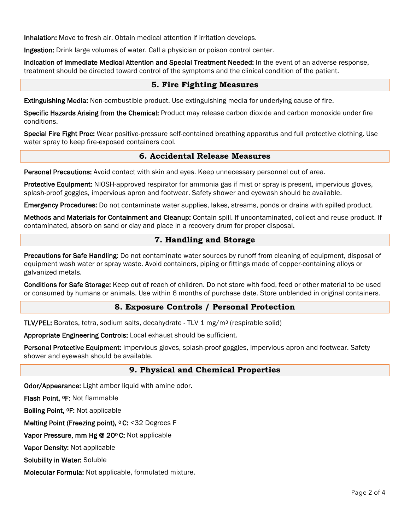Inhalation: Move to fresh air. Obtain medical attention if irritation develops.

Ingestion: Drink large volumes of water. Call a physician or poison control center.

Indication of Immediate Medical Attention and Special Treatment Needed: In the event of an adverse response, treatment should be directed toward control of the symptoms and the clinical condition of the patient.

### **5. Fire Fighting Measures**

Extinguishing Media: Non-combustible product. Use extinguishing media for underlying cause of fire.

Specific Hazards Arising from the Chemical: Product may release carbon dioxide and carbon monoxide under fire conditions.

Special Fire Fight Proc: Wear positive-pressure self-contained breathing apparatus and full protective clothing. Use water spray to keep fire-exposed containers cool.

#### **6. Accidental Release Measures**

Personal Precautions: Avoid contact with skin and eyes. Keep unnecessary personnel out of area.

Protective Equipment: NIOSH-approved respirator for ammonia gas if mist or spray is present, impervious gloves, splash-proof goggles, impervious apron and footwear. Safety shower and eyewash should be available.

Emergency Procedures: Do not contaminate water supplies, lakes, streams, ponds or drains with spilled product.

Methods and Materials for Containment and Cleanup: Contain spill. If uncontaminated, collect and reuse product. If contaminated, absorb on sand or clay and place in a recovery drum for proper disposal.

## **7. Handling and Storage**

Precautions for Safe Handling: Do not contaminate water sources by runoff from cleaning of equipment, disposal of equipment wash water or spray waste. Avoid containers, piping or fittings made of copper-containing alloys or galvanized metals.

Conditions for Safe Storage: Keep out of reach of children. Do not store with food, feed or other material to be used or consumed by humans or animals. Use within 6 months of purchase date. Store unblended in original containers.

#### **8. Exposure Controls / Personal Protection**

TLV/PEL: Borates, tetra, sodium salts, decahydrate - TLV 1 mg/m3 (respirable solid)

Appropriate Engineering Controls: Local exhaust should be sufficient.

Personal Protective Equipment: Impervious gloves, splash-proof goggles, impervious apron and footwear. Safety shower and eyewash should be available.

# **9. Physical and Chemical Properties**

Odor/Appearance: Light amber liquid with amine odor.

Flash Point, 0F: Not flammable

Boiling Point, 0F: Not applicable

Melting Point (Freezing point), <sup>o</sup> C: <32 Degrees F

Vapor Pressure, mm Hg @ 20ºC: Not applicable

Vapor Density: Not applicable

Solubility in Water: Soluble

Molecular Formula: Not applicable, formulated mixture.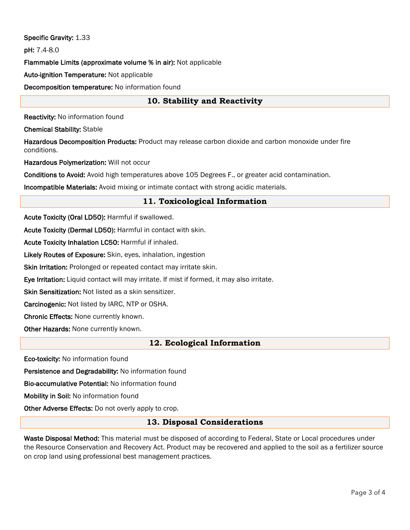Specific Gravity: 1.33

pH: 7.4-8.0

Flammable Limits (approximate volume % in air): Not applicable

Auto-ignition Temperature: Not applicable

Decomposition temperature: No information found

# **10. Stability and Reactivity**

Reactivity: No information found

Chemical Stability: Stable

Hazardous Decomposition Products: Product may release carbon dioxide and carbon monoxide under fire conditions.

Hazardous Polymerization: Will not occur

Conditions to Avoid: Avoid high temperatures above 105 Degrees F., or greater acid contamination.

Incompatible Materials: Avoid mixing or intimate contact with strong acidic materials.

# **11. Toxicological Information**

Acute Toxicity (Oral LD50): Harmful if swallowed.

Acute Toxicity (Dermal LD50): Harmful in contact with skin.

Acute Toxicity Inhalation LC50: Harmful if inhaled.

Likely Routes of Exposure: Skin, eyes, inhalation, ingestion

Skin Irritation: Prolonged or repeated contact may irritate skin.

Eye Irritation: Liquid contact will may irritate. If mist if formed, it may also irritate.

Skin Sensitization: Not listed as a skin sensitizer.

Carcinogenic: Not listed by IARC, NTP or OSHA.

Chronic Effects: None currently known.

Other Hazards: None currently known.

#### **12. Ecological Information**

Eco-toxicity: No information found

Persistence and Degradability: No information found

Bio-accumulative Potential: No information found

Mobility in Soil: No information found

Other Adverse Effects: Do not overly apply to crop.

#### **13. Disposal Considerations**

Waste Disposal Method: This material must be disposed of according to Federal, State or Local procedures under the Resource Conservation and Recovery Act. Product may be recovered and applied to the soil as a fertilizer source on crop land using professional best management practices.